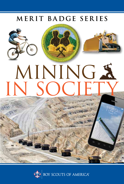### MERIT BADGE SERIES







# MINING S **CIE**

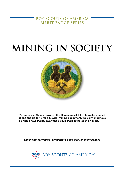**BOY SCOUTS OF AMERICA MERIT BADGE SERIES**

# **Mining in society**



*On our cover:* **Mining provides the 30 minerals it takes to make a smartphone and up to 12 for a bicycle. Mining equipment, typically enormous like these haul trucks, dwarf the pickup truck in the open pit mine.**

*"Enhancing our youths' competitive edge through merit badges"*

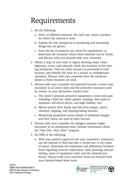# Requirements

- 1. Do the following:
	- a. Select 10 different minerals. For each one, name a product for which the mineral is used.
	- b. Explain the role mining has in producing and processing things that are grown.
	- c. From the list of minerals you chose for requirement 1a, determine the countries where those minerals can be found, and discuss what you learned with your counselor.
- 2. Obtain a map of your state or region showing major cities, highways, rivers, and railroads. Mark the locations of five mining enterprises. Find out what resource is processed at each location, and identify the mine as a surface or underground operation. Discuss with your counselor how the resources mined at these locations are used.
- 3. Discuss with your counselor the potential hazards a miner may encounter at an active mine and the protective measures used by miners. In your discussion, explain how:
	- a. The miner's personal protective equipment is worn and used, including a hard hat, safety glasses, earplugs, dust mask or respirator, self-rescue device, and high-visibility vest.
	- b. Miners protect their hands and feet from impact, pinch, vibration, slipping, and tripping/falling hazards.
	- c. Monitoring equipment warns miners of imminent danger, and how robots are used in mine rescues.
- 4. Discuss with your counselor the dangers someone might encounter at an abandoned mine. Include information about the "Stay Out—Stay Alive" program.
- 5. Do ONE of the following:
	- a. With your parent's approval and your counselor's assistance, use the Internet to find and take a virtual tour of two types of mines. Determine the similarities and differences between them regarding resource exploration, mine planning and permitting, types of equipment used, and the minerals produced. Discuss with your counselor what you learned from your Internet-based mine tours.

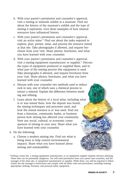- b. With your parent's permission and counselor's approval, visit a mining or minerals exhibit at a museum. Find out about the history of the museum's exhibit and the type of mining it represents. Give three examples of how mineral resources have influenced history.
- c. With your parent's permission and counselor's approval, visit an active mine.\* Find out about the tasks required to explore, plan, permit, mine, and process the resource mined at that site. Take photographs if allowed, and request brochures from your visit. Share photos, brochures, and what you have learned with your counselor.
- d. With your parent's permission and counselor's approval, visit a mining equipment manufacturer or supplier.\* Discuss the types of equipment produced or supplied there, and in what part of the mining process this equipment is used. Take photographs if allowed, and request brochures from your visit. Share photos, brochures, and what you have learned with your counselor.
- e. Discuss with your counselor two methods used to reduce rock in size, one of which uses a chemical process to extract a mineral. Explain the difference between smelting and refining.
- f. Learn about the history of a local mine, including what is or was mined there, how the deposit was found, the mining techniques and processes used, and how the mined resource is or was used. Find out from a historian, community leader, or business person how mining has affected your community. Note any social, cultural, or economic consequences of mining in your area. Share what you have learned with your counselor.
- 6. Do the following:
	- a. Choose a modern mining site. Find out what is being done to help control environmental impacts. Share what you have learned about mining and sustainability.

<sup>\*</sup>Visiting a mine site, a mining equipment manufacturer, or an equipment supplier requires advance planning. These sites can be potentially dangerous. You will need permission from your parent and counselor, and the manager of the mine site, or equipment manufacturer or supplier. While there, you will be required to follow closely the site manager's instructions and comply with all safety rules and procedures, including wearing appropriate clothing, footwear, and personal safety equipment.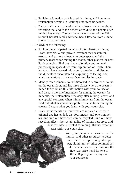- b. Explain reclamation as it is used in mining and how mine reclamation pertains to Scouting's no-trace principles.
- c. Discuss with your counselor what values society has about returning the land to the benefit of wildlife and people after mining has ended. Discuss the transformation of the BSA Summit Bechtel Family National Scout Reserve from a mine site to its current role.
- 7. Do ONE of the following:
	- a. Explore the anticipated benefits of interplanetary mining. Learn how NASA and private investors may search for, extract, and process minerals in outer space, and the primary reasons for mining the moon, other planets, or near-Earth asteroids. Find out how exploration and mineral processing in space differ from exploration on Earth. Share what you have learned with your counselor, and discuss the difficulties encountered in exploring, collecting, and analyzing surface or near-surface samples in space.
	- b. Identify three minerals found dissolved in seawater or found on the ocean floor, and list three places where the ocean is mined today. Share this information with your counselor, and discuss the chief incentives for mining the oceans for minerals, the reclamation necessary after mining is over, and any special concerns when mining minerals from the ocean. Find out what sustainability problems arise from mining the oceans. Discuss what you learn with your counselor.
	- c. Learn what metals and minerals are recycled after their original use has ended. List four metals and two nonmetals, and find out how each can be recycled. Find out how recycling affects the sustainability of natural resources and how this idea is related to mining. Discuss what you learn with your counselor.

d. With your parent's permission, use the Internet and other resources to determine the current price of gold, copper, aluminum, or other commodities like cement or coal, and find out the five-year price trend for two of these. Report your findings to your counselor.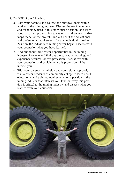- 8. Do ONE of the following:
	- a. With your parent's and counselor's approval, meet with a worker in the mining industry. Discuss the work, equipment, and technology used in this individual's position, and learn about a current project. Ask to see reports, drawings, and/or maps made for the project. Find out about the educational and professional requirements for this individual's position. Ask how the individual's mining career began. Discuss with your counselor what you have learned.
	- b. Find out about three career opportunities in the mining industry. Pick one and find out the education, training, and experience required for this profession. Discuss this with your counselor, and explain why this profession might interest you.
	- c. With your parent's permission and counselor's approval, visit a career academy or community college to learn about educational and training requirements for a position in the mining industry that interests you. Find out why this position is critical to the mining industry, and discuss what you learned with your counselor.